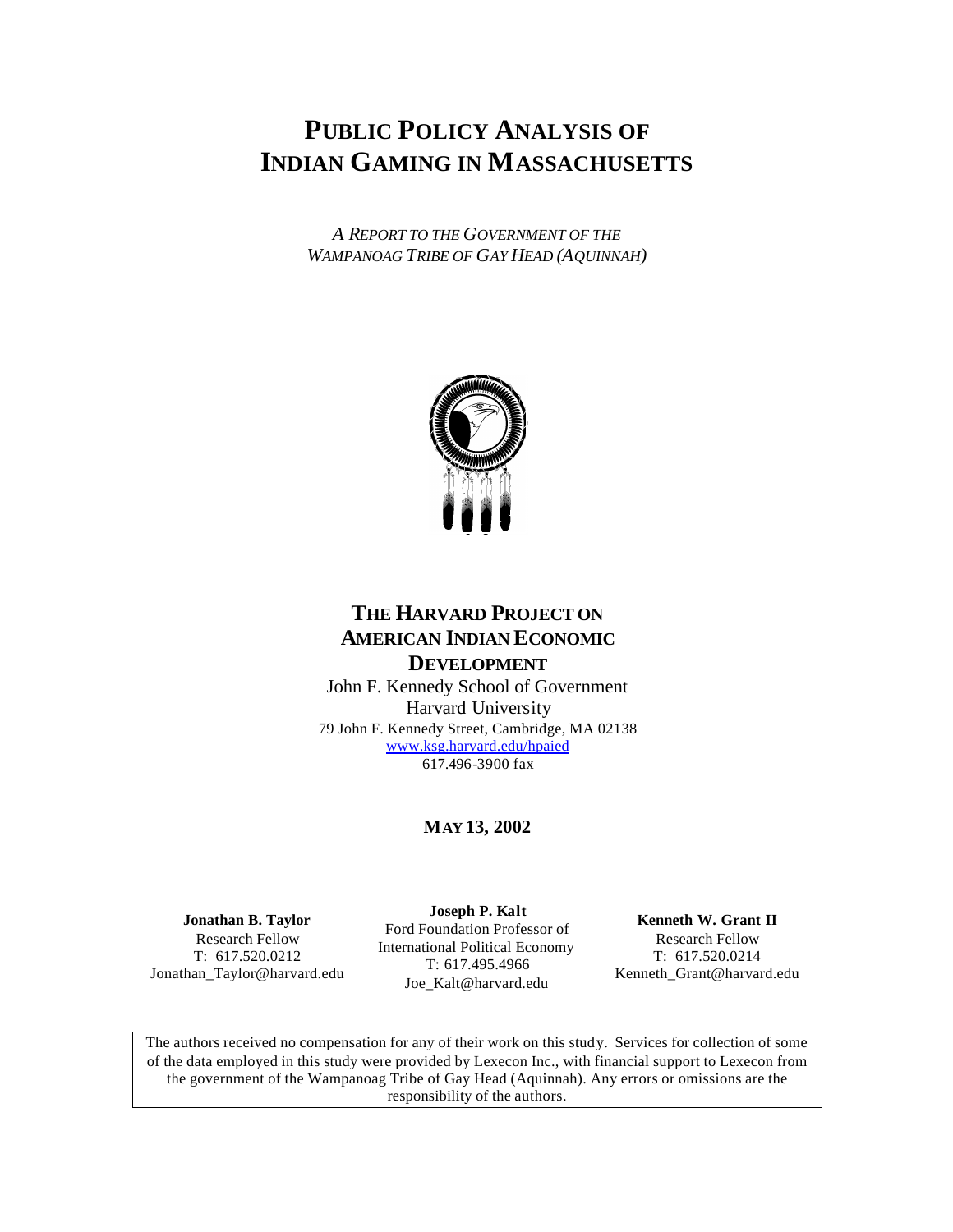# **PUBLIC POLICY ANALYSIS OF INDIAN GAMING IN MASSACHUSETTS**

*A REPORT TO THE GOVERNMENT OF THE WAMPANOAG TRIBE OF GAY HEAD (AQUINNAH)*



## **THE HARVARD PROJECT ON AMERICAN INDIAN ECONOMIC DEVELOPMENT**

John F. Kennedy School of Government Harvard University 79 John F. Kennedy Street, Cambridge, MA 02138 www.ksg.harvard.edu/hpaied 617.496-3900 fax

## **MAY 13, 2002**

**Jonathan B. Taylor** Research Fellow T: 617.520.0212 Jonathan\_Taylor@harvard.edu

**Joseph P. Kalt** Ford Foundation Professor of International Political Economy T: 617.495.4966 Joe\_Kalt@harvard.edu

**Kenneth W. Grant II** Research Fellow T: 617.520.0214 Kenneth\_Grant@harvard.edu

The authors received no compensation for any of their work on this study. Services for collection of some of the data employed in this study were provided by Lexecon Inc., with financial support to Lexecon from the government of the Wampanoag Tribe of Gay Head (Aquinnah). Any errors or omissions are the responsibility of the authors.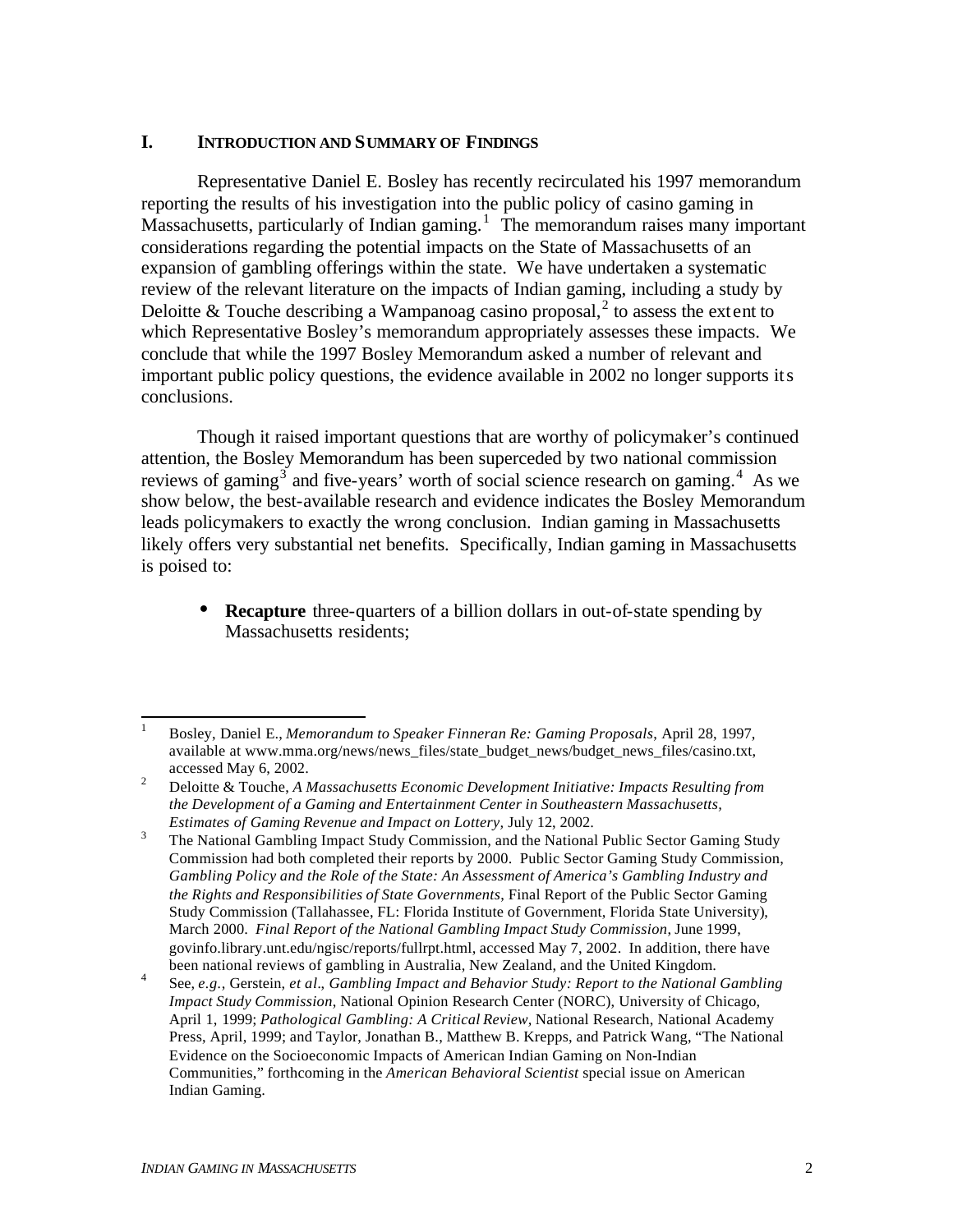## **I. INTRODUCTION AND SUMMARY OF FINDINGS**

Representative Daniel E. Bosley has recently recirculated his 1997 memorandum reporting the results of his investigation into the public policy of casino gaming in Massachusetts, particularly of Indian gaming.<sup>1</sup> The memorandum raises many important considerations regarding the potential impacts on the State of Massachusetts of an expansion of gambling offerings within the state. We have undertaken a systematic review of the relevant literature on the impacts of Indian gaming, including a study by Deloitte & Touche describing a Wampanoag casino proposal,<sup>2</sup> to assess the extent to which Representative Bosley's memorandum appropriately assesses these impacts. We conclude that while the 1997 Bosley Memorandum asked a number of relevant and important public policy questions, the evidence available in 2002 no longer supports its conclusions.

Though it raised important questions that are worthy of policymaker's continued attention, the Bosley Memorandum has been superceded by two national commission reviews of gaming<sup>3</sup> and five-years' worth of social science research on gaming.<sup>4</sup> As we show below, the best-available research and evidence indicates the Bosley Memorandum leads policymakers to exactly the wrong conclusion. Indian gaming in Massachusetts likely offers very substantial net benefits. Specifically, Indian gaming in Massachusetts is poised to:

• **Recapture** three-quarters of a billion dollars in out-of-state spending by Massachusetts residents;

 $\mathbf{1}$ <sup>1</sup> Bosley, Daniel E., *Memorandum to Speaker Finneran Re: Gaming Proposals*, April 28, 1997, available at www.mma.org/news/news\_files/state\_budget\_news/budget\_news\_files/casino.txt, accessed May 6, 2002.

<sup>2</sup> Deloitte & Touche, *A Massachusetts Economic Development Initiative: Impacts Resulting from the Development of a Gaming and Entertainment Center in Southeastern Massachusetts, Estimates of Gaming Revenue and Impact on Lottery,* July 12, 2002.

<sup>3</sup> The National Gambling Impact Study Commission, and the National Public Sector Gaming Study Commission had both completed their reports by 2000. Public Sector Gaming Study Commission, *Gambling Policy and the Role of the State: An Assessment of America's Gambling Industry and the Rights and Responsibilities of State Governments*, Final Report of the Public Sector Gaming Study Commission (Tallahassee, FL: Florida Institute of Government, Florida State University), March 2000. *Final Report of the National Gambling Impact Study Commission*, June 1999, govinfo.library.unt.edu/ngisc/reports/fullrpt.html, accessed May 7, 2002. In addition, there have been national reviews of gambling in Australia, New Zealand, and the United Kingdom.

<sup>4</sup> See, *e.g.*, Gerstein, *et al.*, *Gambling Impact and Behavior Study: Report to the National Gambling Impact Study Commission*, National Opinion Research Center (NORC), University of Chicago, April 1, 1999; *Pathological Gambling: A Critical Review,* National Research, National Academy Press, April, 1999; and Taylor, Jonathan B., Matthew B. Krepps, and Patrick Wang, "The National Evidence on the Socioeconomic Impacts of American Indian Gaming on Non-Indian Communities," forthcoming in the *American Behavioral Scientist* special issue on American Indian Gaming.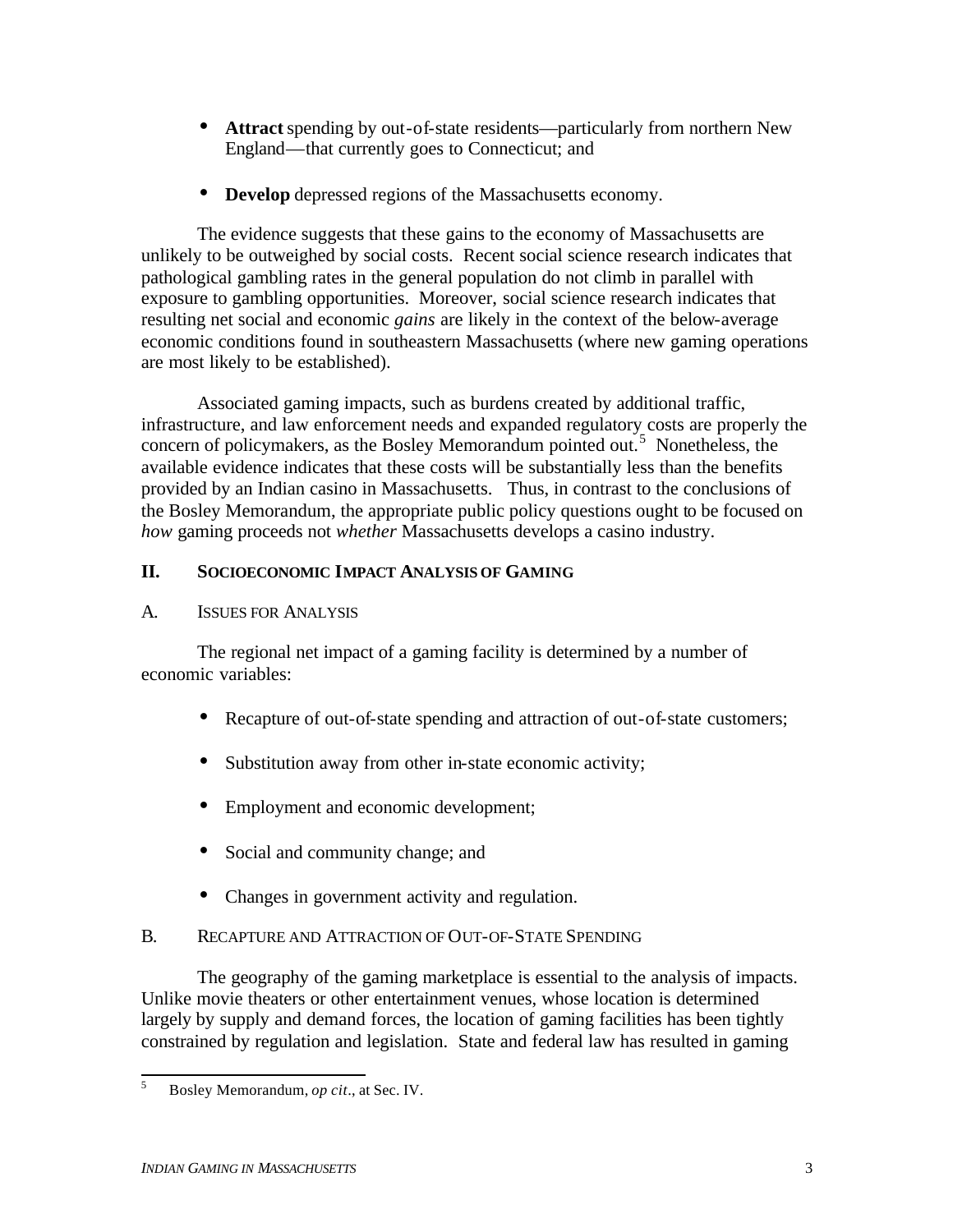- **Attract** spending by out-of-state residents—particularly from northern New England—that currently goes to Connecticut; and
- **Develop** depressed regions of the Massachusetts economy.

The evidence suggests that these gains to the economy of Massachusetts are unlikely to be outweighed by social costs. Recent social science research indicates that pathological gambling rates in the general population do not climb in parallel with exposure to gambling opportunities. Moreover, social science research indicates that resulting net social and economic *gains* are likely in the context of the below-average economic conditions found in southeastern Massachusetts (where new gaming operations are most likely to be established).

Associated gaming impacts, such as burdens created by additional traffic, infrastructure, and law enforcement needs and expanded regulatory costs are properly the concern of policymakers, as the Bosley Memorandum pointed out.<sup>5</sup> Nonetheless, the available evidence indicates that these costs will be substantially less than the benefits provided by an Indian casino in Massachusetts. Thus, in contrast to the conclusions of the Bosley Memorandum, the appropriate public policy questions ought to be focused on *how* gaming proceeds not *whether* Massachusetts develops a casino industry.

### **II. SOCIOECONOMIC IMPACT ANALYSIS OF GAMING**

## A. ISSUES FOR ANALYSIS

The regional net impact of a gaming facility is determined by a number of economic variables:

- Recapture of out-of-state spending and attraction of out-of-state customers;
- Substitution away from other in-state economic activity;
- Employment and economic development;
- Social and community change; and
- Changes in government activity and regulation.

## B. RECAPTURE AND ATTRACTION OF OUT-OF-STATE SPENDING

The geography of the gaming marketplace is essential to the analysis of impacts. Unlike movie theaters or other entertainment venues, whose location is determined largely by supply and demand forces, the location of gaming facilities has been tightly constrained by regulation and legislation. State and federal law has resulted in gaming

<sup>5</sup> <sup>5</sup> Bosley Memorandum, *op cit*., at Sec. IV.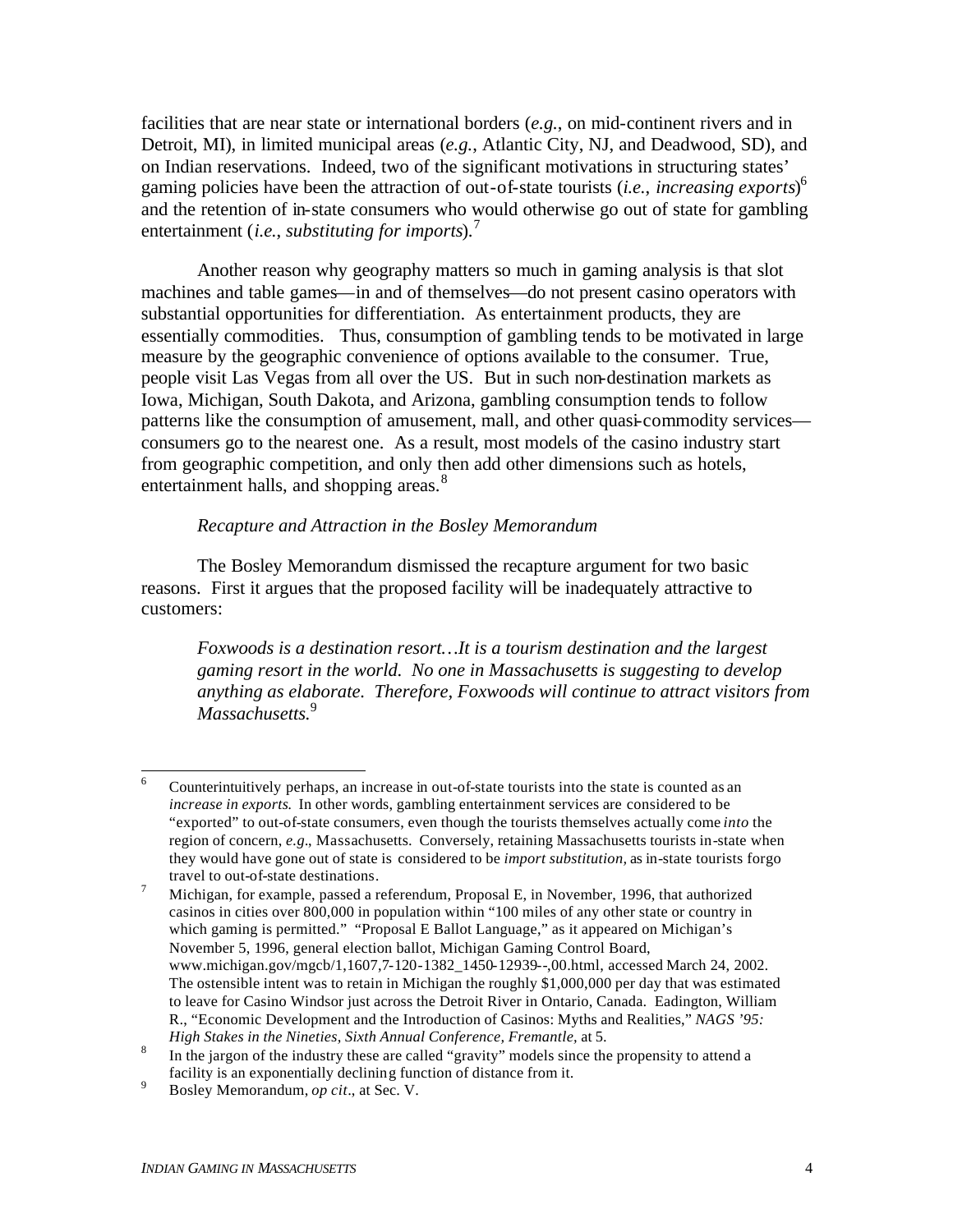facilities that are near state or international borders (*e.g.*, on mid-continent rivers and in Detroit, MI), in limited municipal areas (*e.g.*, Atlantic City, NJ, and Deadwood, SD), and on Indian reservations. Indeed, two of the significant motivations in structuring states' gaming policies have been the attraction of out-of-state tourists (*i.e.*, *increasing exports*) 6 and the retention of in-state consumers who would otherwise go out of state for gambling entertainment (*i.e.*, *substituting for imports*).<sup>7</sup>

Another reason why geography matters so much in gaming analysis is that slot machines and table games—in and of themselves—do not present casino operators with substantial opportunities for differentiation. As entertainment products, they are essentially commodities. Thus, consumption of gambling tends to be motivated in large measure by the geographic convenience of options available to the consumer. True, people visit Las Vegas from all over the US. But in such non-destination markets as Iowa, Michigan, South Dakota, and Arizona, gambling consumption tends to follow patterns like the consumption of amusement, mall, and other quasi-commodity services consumers go to the nearest one. As a result, most models of the casino industry start from geographic competition, and only then add other dimensions such as hotels, entertainment halls, and shopping areas.<sup>8</sup>

## *Recapture and Attraction in the Bosley Memorandum*

The Bosley Memorandum dismissed the recapture argument for two basic reasons. First it argues that the proposed facility will be inadequately attractive to customers:

*Foxwoods is a destination resort…It is a tourism destination and the largest gaming resort in the world. No one in Massachusetts is suggesting to develop anything as elaborate. Therefore, Foxwoods will continue to attract visitors from Massachusetts.*<sup>9</sup>

<sup>6</sup> <sup>6</sup> Counterintuitively perhaps, an increase in out-of-state tourists into the state is counted as an *increase in exports.* In other words, gambling entertainment services are considered to be "exported" to out-of-state consumers, even though the tourists themselves actually come *into* the region of concern, *e.g.*, Massachusetts. Conversely, retaining Massachusetts tourists in-state when they would have gone out of state is considered to be *import substitution,* as in-state tourists forgo travel to out-of-state destinations*.* 

<sup>&</sup>lt;sup>7</sup> Michigan, for example, passed a referendum, Proposal E, in November, 1996, that authorized casinos in cities over 800,000 in population within "100 miles of any other state or country in which gaming is permitted." "Proposal E Ballot Language," as it appeared on Michigan's November 5, 1996, general election ballot, Michigan Gaming Control Board, www.michigan.gov/mgcb/1,1607,7-120-1382\_1450-12939--,00.html, accessed March 24, 2002. The ostensible intent was to retain in Michigan the roughly \$1,000,000 per day that was estimated to leave for Casino Windsor just across the Detroit River in Ontario, Canada. Eadington, William R., "Economic Development and the Introduction of Casinos: Myths and Realities," *NAGS '95: High Stakes in the Nineties, Sixth Annual Conference, Fremantle,* at 5.

<sup>8</sup> In the jargon of the industry these are called "gravity" models since the propensity to attend a facility is an exponentially declining function of distance from it.

<sup>9</sup> Bosley Memorandum, *op cit*., at Sec. V.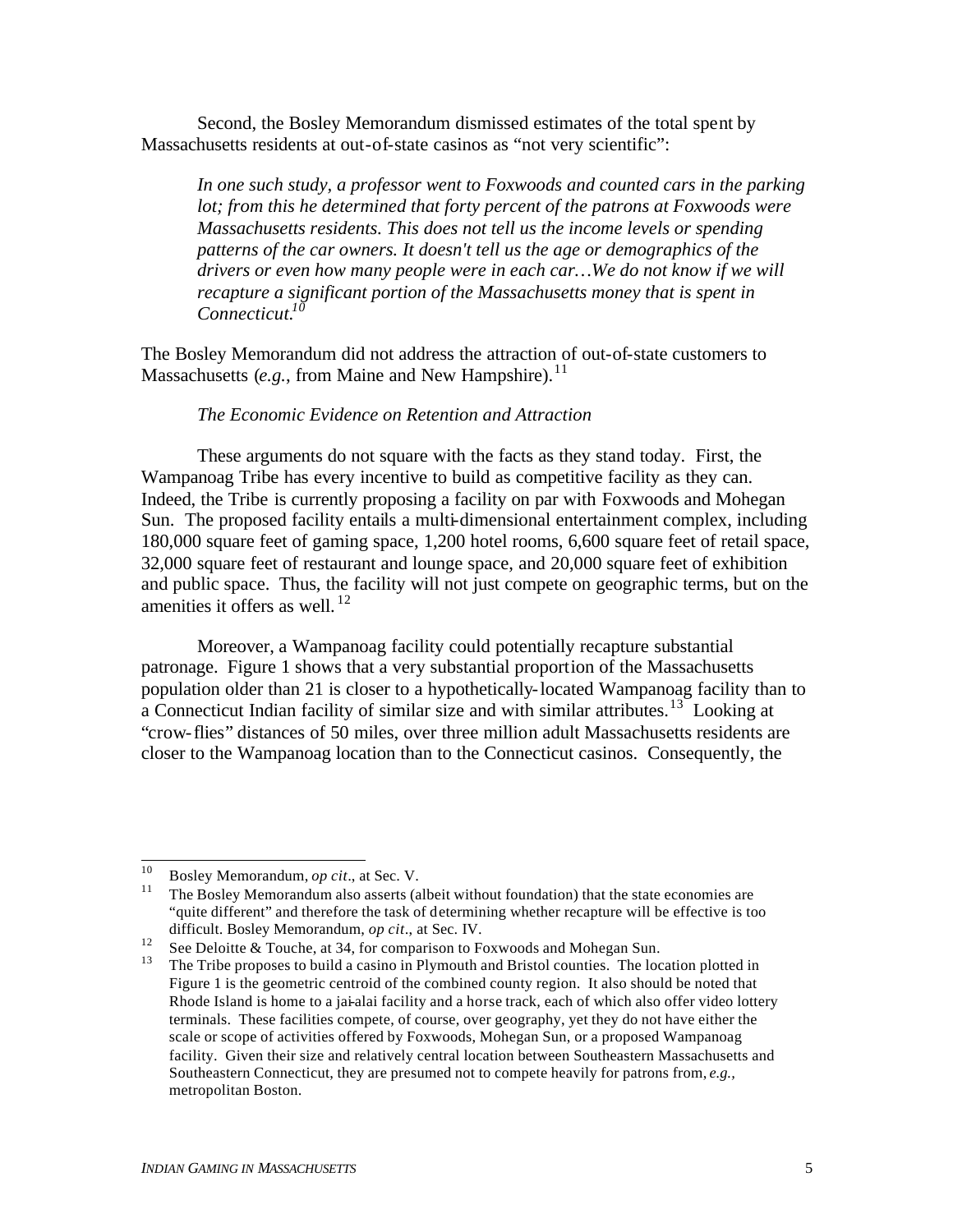Second, the Bosley Memorandum dismissed estimates of the total spent by Massachusetts residents at out-of-state casinos as "not very scientific":

*In one such study, a professor went to Foxwoods and counted cars in the parking lot; from this he determined that forty percent of the patrons at Foxwoods were Massachusetts residents. This does not tell us the income levels or spending patterns of the car owners. It doesn't tell us the age or demographics of the drivers or even how many people were in each car…We do not know if we will recapture a significant portion of the Massachusetts money that is spent in Connecticut.<sup>10</sup>*

The Bosley Memorandum did not address the attraction of out-of-state customers to Massachusetts (*e.g.*, from Maine and New Hampshire).<sup>11</sup>

#### *The Economic Evidence on Retention and Attraction*

These arguments do not square with the facts as they stand today. First, the Wampanoag Tribe has every incentive to build as competitive facility as they can. Indeed, the Tribe is currently proposing a facility on par with Foxwoods and Mohegan Sun. The proposed facility entails a multi-dimensional entertainment complex, including 180,000 square feet of gaming space, 1,200 hotel rooms, 6,600 square feet of retail space, 32,000 square feet of restaurant and lounge space, and 20,000 square feet of exhibition and public space. Thus, the facility will not just compete on geographic terms, but on the amenities it offers as well.  $^{12}$ 

Moreover, a Wampanoag facility could potentially recapture substantial patronage. Figure 1 shows that a very substantial proportion of the Massachusetts population older than 21 is closer to a hypothetically-located Wampanoag facility than to a Connecticut Indian facility of similar size and with similar attributes.<sup>13</sup> Looking at "crow-flies" distances of 50 miles, over three million adult Massachusetts residents are closer to the Wampanoag location than to the Connecticut casinos. Consequently, the

<sup>10</sup> <sup>10</sup> Bosley Memorandum, *op cit.*, at Sec. V.

<sup>11</sup> The Bosley Memorandum also asserts (albeit without foundation) that the state economies are "quite different" and therefore the task of determining whether recapture will be effective is too difficult. Bosley Memorandum, *op cit*., at Sec. IV.

<sup>&</sup>lt;sup>12</sup> See Deloitte & Touche, at 34, for comparison to Foxwoods and Mohegan Sun.<br><sup>13</sup> The Tribe proposes to build a cosino in Plymouth and Pristol counties. The loc

<sup>13</sup> The Tribe proposes to build a casino in Plymouth and Bristol counties. The location plotted in Figure 1 is the geometric centroid of the combined county region. It also should be noted that Rhode Island is home to a jai-alai facility and a horse track, each of which also offer video lottery terminals. These facilities compete, of course, over geography, yet they do not have either the scale or scope of activities offered by Foxwoods, Mohegan Sun, or a proposed Wampanoag facility. Given their size and relatively central location between Southeastern Massachusetts and Southeastern Connecticut, they are presumed not to compete heavily for patrons from, *e.g.,* metropolitan Boston.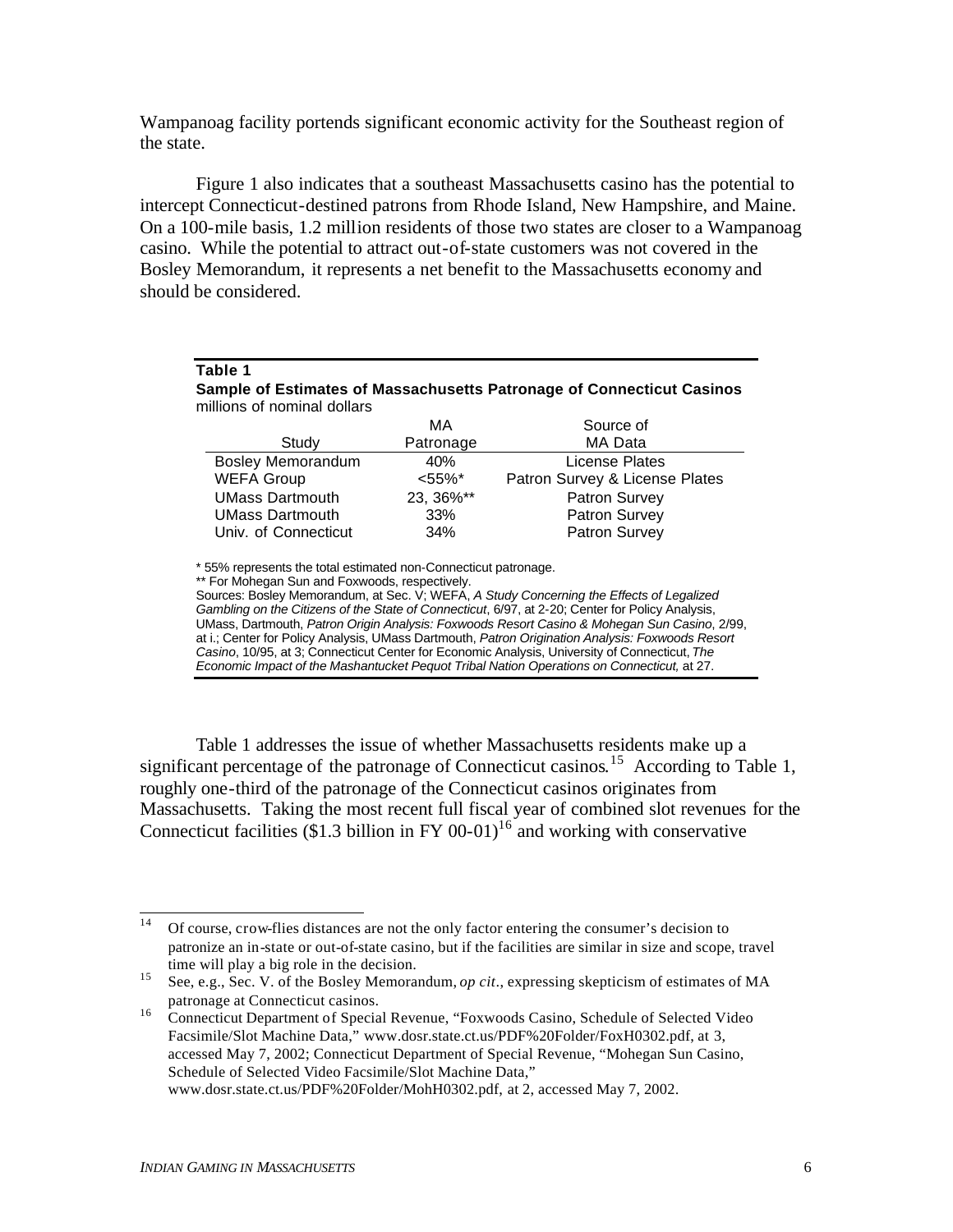Wampanoag facility portends significant economic activity for the Southeast region of the state.

Figure 1 also indicates that a southeast Massachusetts casino has the potential to intercept Connecticut-destined patrons from Rhode Island, New Hampshire, and Maine. On a 100-mile basis, 1.2 million residents of those two states are closer to a Wampanoag casino. While the potential to attract out-of-state customers was not covered in the Bosley Memorandum, it represents a net benefit to the Massachusetts economy and should be considered.

|                                                                       | Table 1                  |            |                                |
|-----------------------------------------------------------------------|--------------------------|------------|--------------------------------|
| Sample of Estimates of Massachusetts Patronage of Connecticut Casinos |                          |            |                                |
| millions of nominal dollars                                           |                          |            |                                |
|                                                                       |                          | MA         | Source of                      |
|                                                                       | Study                    | Patronage  | MA Data                        |
|                                                                       | <b>Bosley Memorandum</b> | 40%        | License Plates                 |
|                                                                       | <b>WEFA Group</b>        | $< 55\%$ * | Patron Survey & License Plates |
|                                                                       | <b>UMass Dartmouth</b>   | 23, 36%**  | Patron Survey                  |
|                                                                       | <b>UMass Dartmouth</b>   | 33%        | Patron Survey                  |
|                                                                       | Univ. of Connecticut     | 34%        | Patron Survey                  |
|                                                                       |                          |            |                                |

\* 55% represents the total estimated non-Connecticut patronage.

Sources: Bosley Memorandum, at Sec. V; WEFA, *A Study Concerning the Effects of Legalized Gambling on the Citizens of the State of Connecticut*, 6/97, at 2-20; Center for Policy Analysis, UMass, Dartmouth, *Patron Origin Analysis: Foxwoods Resort Casino & Mohegan Sun Casino*, 2/99, at i.; Center for Policy Analysis, UMass Dartmouth, *Patron Origination Analysis: Foxwoods Resort Casino*, 10/95, at 3; Connecticut Center for Economic Analysis, University of Connecticut, *The Economic Impact of the Mashantucket Pequot Tribal Nation Operations on Connecticut,* at 27.

Table 1 addresses the issue of whether Massachusetts residents make up a significant percentage of the patronage of Connecticut casinos.<sup>15</sup> According to Table 1, roughly one-third of the patronage of the Connecticut casinos originates from Massachusetts. Taking the most recent full fiscal year of combined slot revenues for the Connecticut facilities (\$1.3 billion in FY 00-01)<sup>16</sup> and working with conservative

<sup>\*\*</sup> For Mohegan Sun and Foxwoods, respectively.

 $14<sup>°</sup>$ <sup>14</sup> Of course, crow-flies distances are not the only factor entering the consumer's decision to patronize an in-state or out-of-state casino, but if the facilities are similar in size and scope, travel time will play a big role in the decision.

<sup>15</sup> See, e.g., Sec. V. of the Bosley Memorandum, *op cit*., expressing skepticism of estimates of MA patronage at Connecticut casinos.

<sup>16</sup> Connecticut Department of Special Revenue, "Foxwoods Casino, Schedule of Selected Video Facsimile/Slot Machine Data," www.dosr.state.ct.us/PDF%20Folder/FoxH0302.pdf, at 3, accessed May 7, 2002; Connecticut Department of Special Revenue, "Mohegan Sun Casino, Schedule of Selected Video Facsimile/Slot Machine Data," www.dosr.state.ct.us/PDF%20Folder/MohH0302.pdf, at 2, accessed May 7, 2002.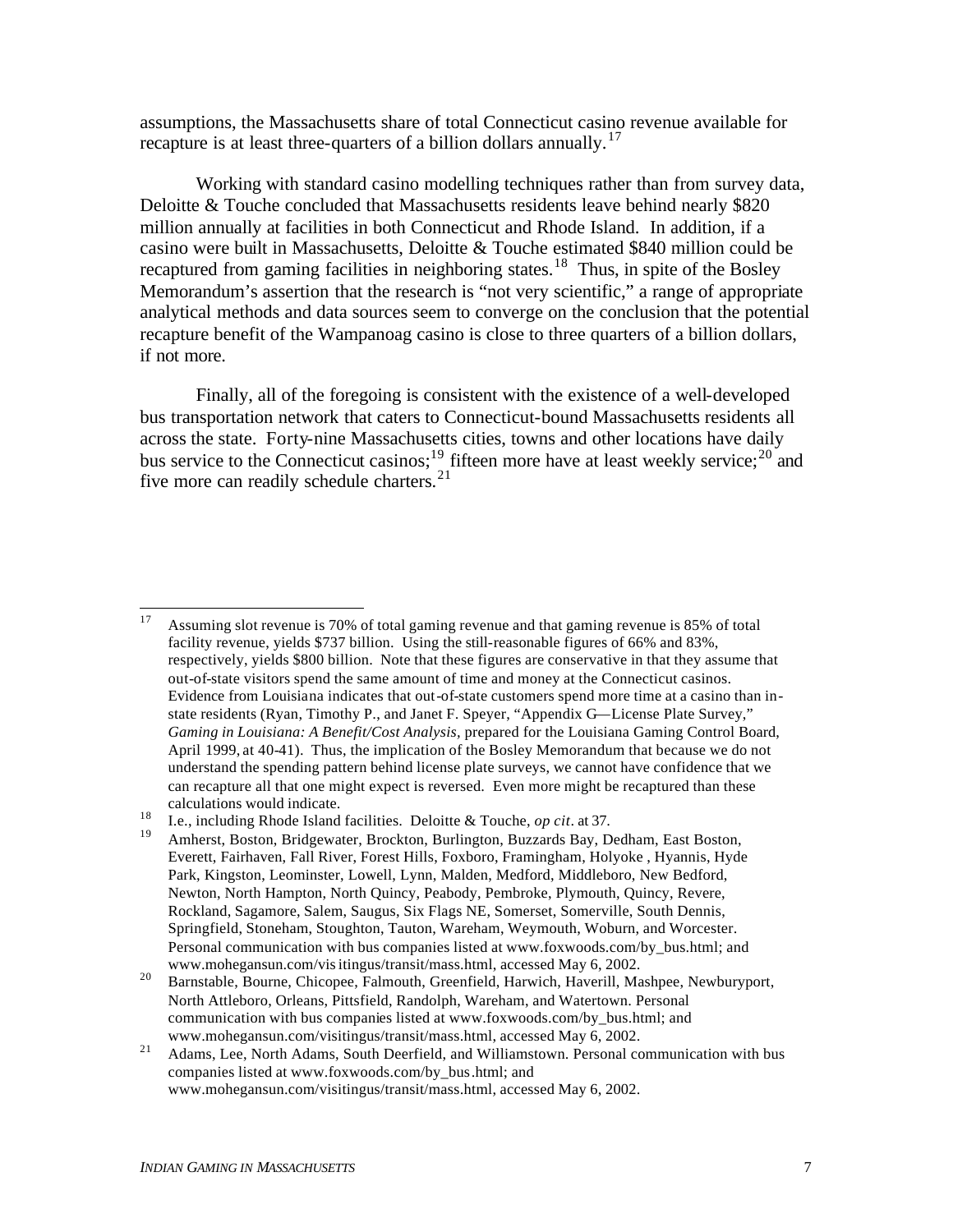assumptions, the Massachusetts share of total Connecticut casino revenue available for recapture is at least three-quarters of a billion dollars annually.<sup>17</sup>

Working with standard casino modelling techniques rather than from survey data, Deloitte & Touche concluded that Massachusetts residents leave behind nearly \$820 million annually at facilities in both Connecticut and Rhode Island. In addition, if a casino were built in Massachusetts, Deloitte & Touche estimated \$840 million could be recaptured from gaming facilities in neighboring states.<sup>18</sup> Thus, in spite of the Bosley Memorandum's assertion that the research is "not very scientific," a range of appropriate analytical methods and data sources seem to converge on the conclusion that the potential recapture benefit of the Wampanoag casino is close to three quarters of a billion dollars, if not more.

Finally, all of the foregoing is consistent with the existence of a well-developed bus transportation network that caters to Connecticut-bound Massachusetts residents all across the state. Forty-nine Massachusetts cities, towns and other locations have daily bus service to the Connecticut casinos;<sup>19</sup> fifteen more have at least weekly service;<sup>20</sup> and five more can readily schedule charters. $^{21}$ 

<sup>17</sup> <sup>17</sup> Assuming slot revenue is 70% of total gaming revenue and that gaming revenue is 85% of total facility revenue, yields \$737 billion. Using the still-reasonable figures of 66% and 83%, respectively, yields \$800 billion. Note that these figures are conservative in that they assume that out-of-state visitors spend the same amount of time and money at the Connecticut casinos. Evidence from Louisiana indicates that out-of-state customers spend more time at a casino than instate residents (Ryan, Timothy P., and Janet F. Speyer, "Appendix G—License Plate Survey," *Gaming in Louisiana: A Benefit/Cost Analysis,* prepared for the Louisiana Gaming Control Board, April 1999, at 40-41). Thus, the implication of the Bosley Memorandum that because we do not understand the spending pattern behind license plate surveys, we cannot have confidence that we can recapture all that one might expect is reversed. Even more might be recaptured than these calculations would indicate.

<sup>18</sup> I.e., including Rhode Island facilities. Deloitte & Touche, *op cit*. at 37.

Amherst, Boston, Bridgewater, Brockton, Burlington, Buzzards Bay, Dedham, East Boston, Everett, Fairhaven, Fall River, Forest Hills, Foxboro, Framingham, Holyoke , Hyannis, Hyde Park, Kingston, Leominster, Lowell, Lynn, Malden, Medford, Middleboro, New Bedford, Newton, North Hampton, North Quincy, Peabody, Pembroke, Plymouth, Quincy, Revere, Rockland, Sagamore, Salem, Saugus, Six Flags NE, Somerset, Somerville, South Dennis, Springfield, Stoneham, Stoughton, Tauton, Wareham, Weymouth, Woburn, and Worcester. Personal communication with bus companies listed at www.foxwoods.com/by\_bus.html; and www.mohegansun.com/visitingus/transit/mass.html, accessed May 6, 2002.

<sup>&</sup>lt;sup>20</sup> Barnstable, Bourne, Chicopee, Falmouth, Greenfield, Harwich, Haverill, Mashpee, Newburyport, North Attleboro, Orleans, Pittsfield, Randolph, Wareham, and Watertown. Personal communication with bus companies listed at www.foxwoods.com/by\_bus.html; and www.mohegansun.com/visitingus/transit/mass.html, accessed May 6, 2002.

<sup>&</sup>lt;sup>21</sup> Adams, Lee, North Adams, South Deerfield, and Williamstown. Personal communication with bus companies listed at www.foxwoods.com/by\_bus.html; and www.mohegansun.com/visitingus/transit/mass.html, accessed May 6, 2002.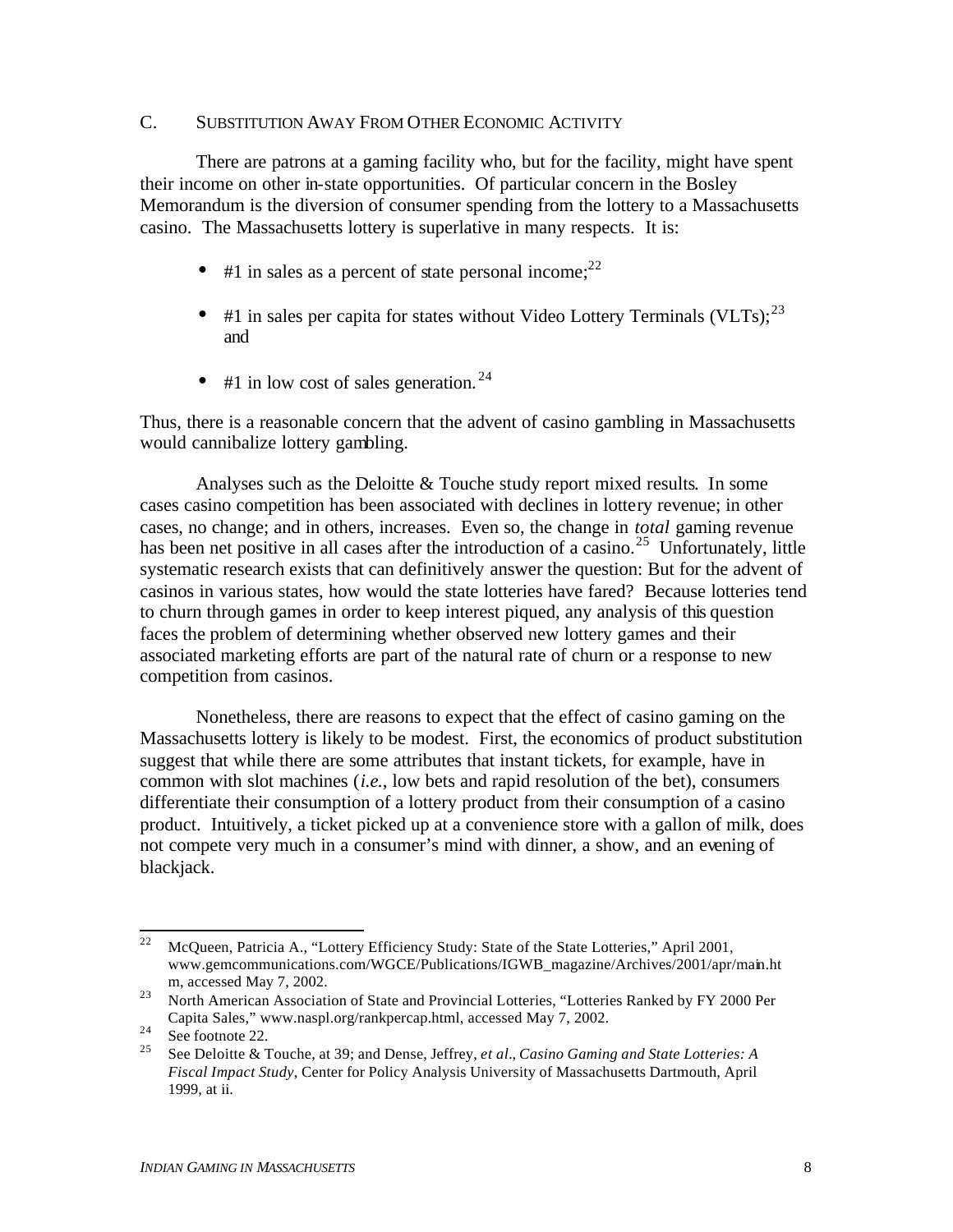## C. SUBSTITUTION AWAY FROM OTHER ECONOMIC ACTIVITY

There are patrons at a gaming facility who, but for the facility, might have spent their income on other in-state opportunities. Of particular concern in the Bosley Memorandum is the diversion of consumer spending from the lottery to a Massachusetts casino. The Massachusetts lottery is superlative in many respects. It is:

- #1 in sales as a percent of state personal income: $^{22}$
- #1 in sales per capita for states without Video Lottery Terminals (VLTs);  $^{23}$ and
- #1 in low cost of sales generation.<sup>24</sup>

Thus, there is a reasonable concern that the advent of casino gambling in Massachusetts would cannibalize lottery gambling.

Analyses such as the Deloitte & Touche study report mixed results. In some cases casino competition has been associated with declines in lottery revenue; in other cases, no change; and in others, increases. Even so, the change in *total* gaming revenue has been net positive in all cases after the introduction of a casino.<sup>25</sup> Unfortunately, little systematic research exists that can definitively answer the question: But for the advent of casinos in various states, how would the state lotteries have fared? Because lotteries tend to churn through games in order to keep interest piqued, any analysis of this question faces the problem of determining whether observed new lottery games and their associated marketing efforts are part of the natural rate of churn or a response to new competition from casinos.

Nonetheless, there are reasons to expect that the effect of casino gaming on the Massachusetts lottery is likely to be modest. First, the economics of product substitution suggest that while there are some attributes that instant tickets, for example, have in common with slot machines (*i.e.*, low bets and rapid resolution of the bet), consumers differentiate their consumption of a lottery product from their consumption of a casino product. Intuitively, a ticket picked up at a convenience store with a gallon of milk, does not compete very much in a consumer's mind with dinner, a show, and an evening of blackjack.

 $22$ <sup>22</sup> McQueen, Patricia A., "Lottery Efficiency Study: State of the State Lotteries," April 2001, www.gemcommunications.com/WGCE/Publications/IGWB\_magazine/Archives/2001/apr/main.ht m, accessed May 7, 2002.

<sup>&</sup>lt;sup>23</sup> North American Association of State and Provincial Lotteries, "Lotteries Ranked by FY 2000 Per Capita Sales," www.naspl.org/rankpercap.html, accessed May 7, 2002.

<sup>&</sup>lt;sup>24</sup> See footnote 22.

<sup>25</sup> See Deloitte & Touche, at 39; and Dense, Jeffrey, *et al.*, *Casino Gaming and State Lotteries: A Fiscal Impact Study*, Center for Policy Analysis University of Massachusetts Dartmouth, April 1999, at ii.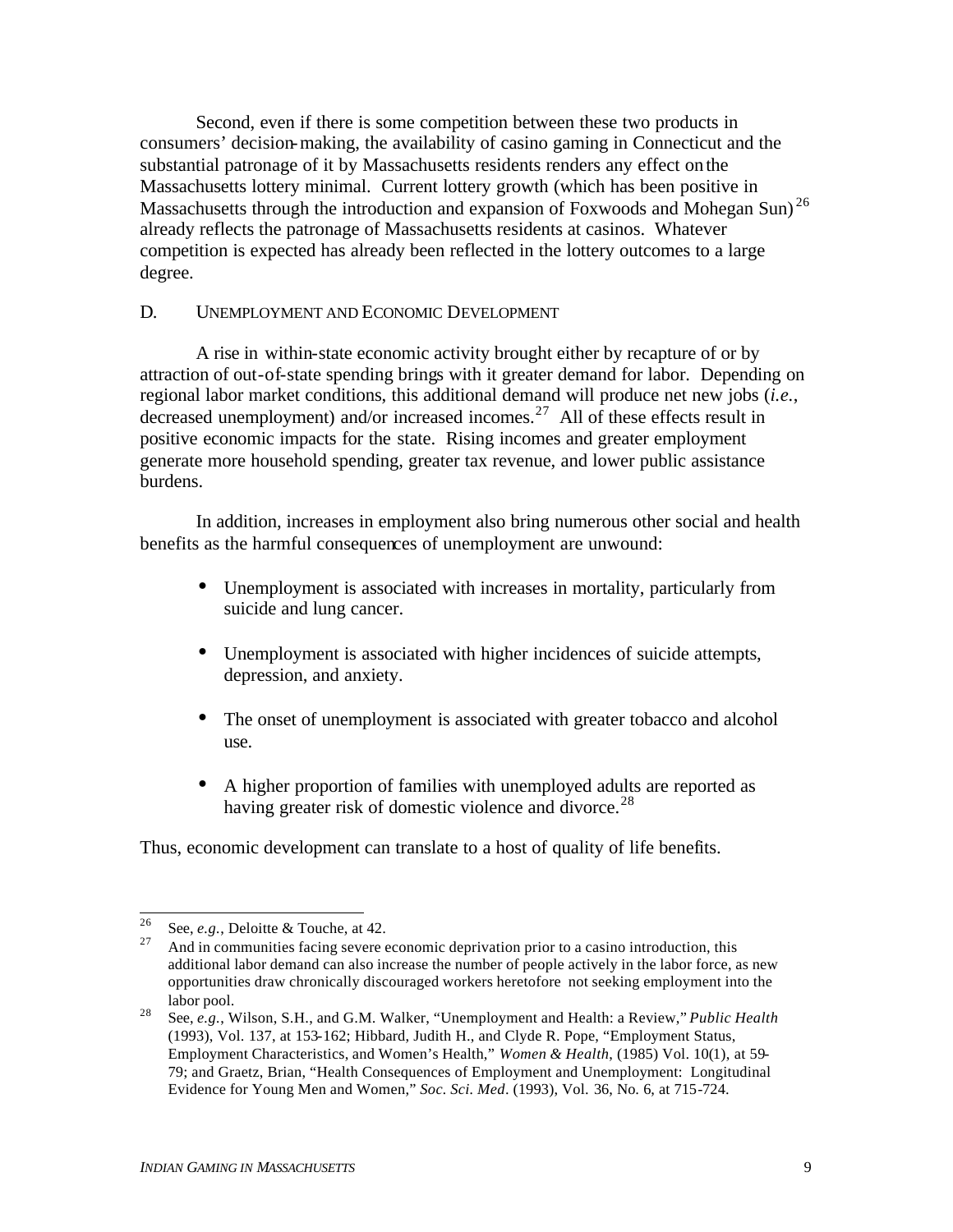Second, even if there is some competition between these two products in consumers' decision-making, the availability of casino gaming in Connecticut and the substantial patronage of it by Massachusetts residents renders any effect on the Massachusetts lottery minimal. Current lottery growth (which has been positive in Massachusetts through the introduction and expansion of Foxwoods and Mohegan Sun)<sup>26</sup> already reflects the patronage of Massachusetts residents at casinos. Whatever competition is expected has already been reflected in the lottery outcomes to a large degree.

## D. UNEMPLOYMENT AND ECONOMIC DEVELOPMENT

A rise in within-state economic activity brought either by recapture of or by attraction of out-of-state spending brings with it greater demand for labor. Depending on regional labor market conditions, this additional demand will produce net new jobs (*i.e.*, decreased unemployment) and/or increased incomes.<sup>27</sup> All of these effects result in positive economic impacts for the state. Rising incomes and greater employment generate more household spending, greater tax revenue, and lower public assistance burdens.

In addition, increases in employment also bring numerous other social and health benefits as the harmful consequences of unemployment are unwound:

- Unemployment is associated with increases in mortality, particularly from suicide and lung cancer.
- Unemployment is associated with higher incidences of suicide attempts, depression, and anxiety.
- The onset of unemployment is associated with greater tobacco and alcohol use.
- A higher proportion of families with unemployed adults are reported as having greater risk of domestic violence and divorce.<sup>28</sup>

Thus, economic development can translate to a host of quality of life benefits.

<sup>26</sup> <sup>26</sup> See, *e.g.*, Deloitte & Touche, at 42.

<sup>27</sup> And in communities facing severe economic deprivation prior to a casino introduction, this additional labor demand can also increase the number of people actively in the labor force, as new opportunities draw chronically discouraged workers heretofore not seeking employment into the labor pool.

<sup>28</sup> See, *e.g.*, Wilson, S.H., and G.M. Walker, "Unemployment and Health: a Review," *Public Health* (1993), Vol. 137, at 153-162; Hibbard, Judith H., and Clyde R. Pope, "Employment Status, Employment Characteristics, and Women's Health," *Women & Health*, (1985) Vol. 10(1), at 59- 79; and Graetz, Brian, "Health Consequences of Employment and Unemployment: Longitudinal Evidence for Young Men and Women," *Soc. Sci. Med*. (1993), Vol. 36, No. 6, at 715-724.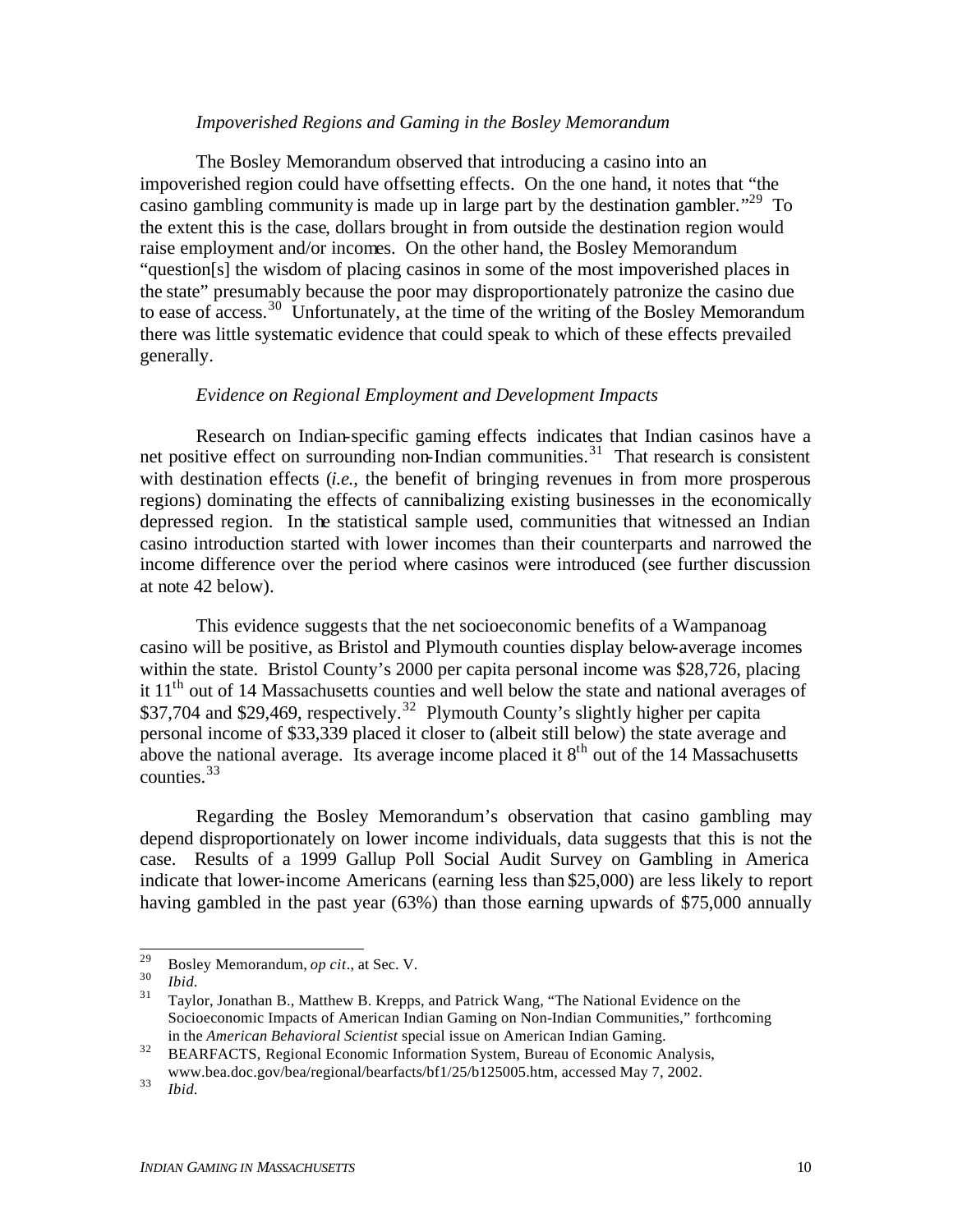#### *Impoverished Regions and Gaming in the Bosley Memorandum*

The Bosley Memorandum observed that introducing a casino into an impoverished region could have offsetting effects. On the one hand, it notes that "the casino gambling community is made up in large part by the destination gambler."<sup>29</sup> To the extent this is the case, dollars brought in from outside the destination region would raise employment and/or incomes. On the other hand, the Bosley Memorandum "question[s] the wisdom of placing casinos in some of the most impoverished places in the state" presumably because the poor may disproportionately patronize the casino due to ease of access.<sup>30</sup> Unfortunately, at the time of the writing of the Bosley Memorandum there was little systematic evidence that could speak to which of these effects prevailed generally.

### *Evidence on Regional Employment and Development Impacts*

Research on Indian-specific gaming effects indicates that Indian casinos have a net positive effect on surrounding non-Indian communities.<sup>31</sup> That research is consistent with destination effects (*i.e.*, the benefit of bringing revenues in from more prosperous regions) dominating the effects of cannibalizing existing businesses in the economically depressed region. In the statistical sample used, communities that witnessed an Indian casino introduction started with lower incomes than their counterparts and narrowed the income difference over the period where casinos were introduced (see further discussion at note 42 below).

This evidence suggests that the net socioeconomic benefits of a Wampanoag casino will be positive, as Bristol and Plymouth counties display below-average incomes within the state. Bristol County's 2000 per capita personal income was \$28,726, placing it  $11<sup>th</sup>$  out of 14 Massachusetts counties and well below the state and national averages of \$37,704 and \$29,469, respectively.<sup>32</sup> Plymouth County's slightly higher per capita personal income of \$33,339 placed it closer to (albeit still below) the state average and above the national average. Its average income placed it  $8<sup>th</sup>$  out of the 14 Massachusetts counties.  $33$ 

Regarding the Bosley Memorandum's observation that casino gambling may depend disproportionately on lower income individuals, data suggests that this is not the case. Results of a 1999 Gallup Poll Social Audit Survey on Gambling in America indicate that lower-income Americans (earning less than \$25,000) are less likely to report having gambled in the past year (63%) than those earning upwards of \$75,000 annually

<sup>29</sup> <sup>29</sup> Bosley Memorandum, *op cit*., at Sec. V.

 $rac{30}{31}$  *Ibid.* 

<sup>31</sup> Taylor, Jonathan B., Matthew B. Krepps, and Patrick Wang, "The National Evidence on the Socioeconomic Impacts of American Indian Gaming on Non-Indian Communities," forthcoming in the *American Behavioral Scientist* special issue on American Indian Gaming.

<sup>&</sup>lt;sup>32</sup> BEARFACTS, Regional Economic Information System, Bureau of Economic Analysis, www.bea.doc.gov/bea/regional/bearfacts/bf1/25/b125005.htm, accessed May 7, 2002.

<sup>33</sup> *Ibid.*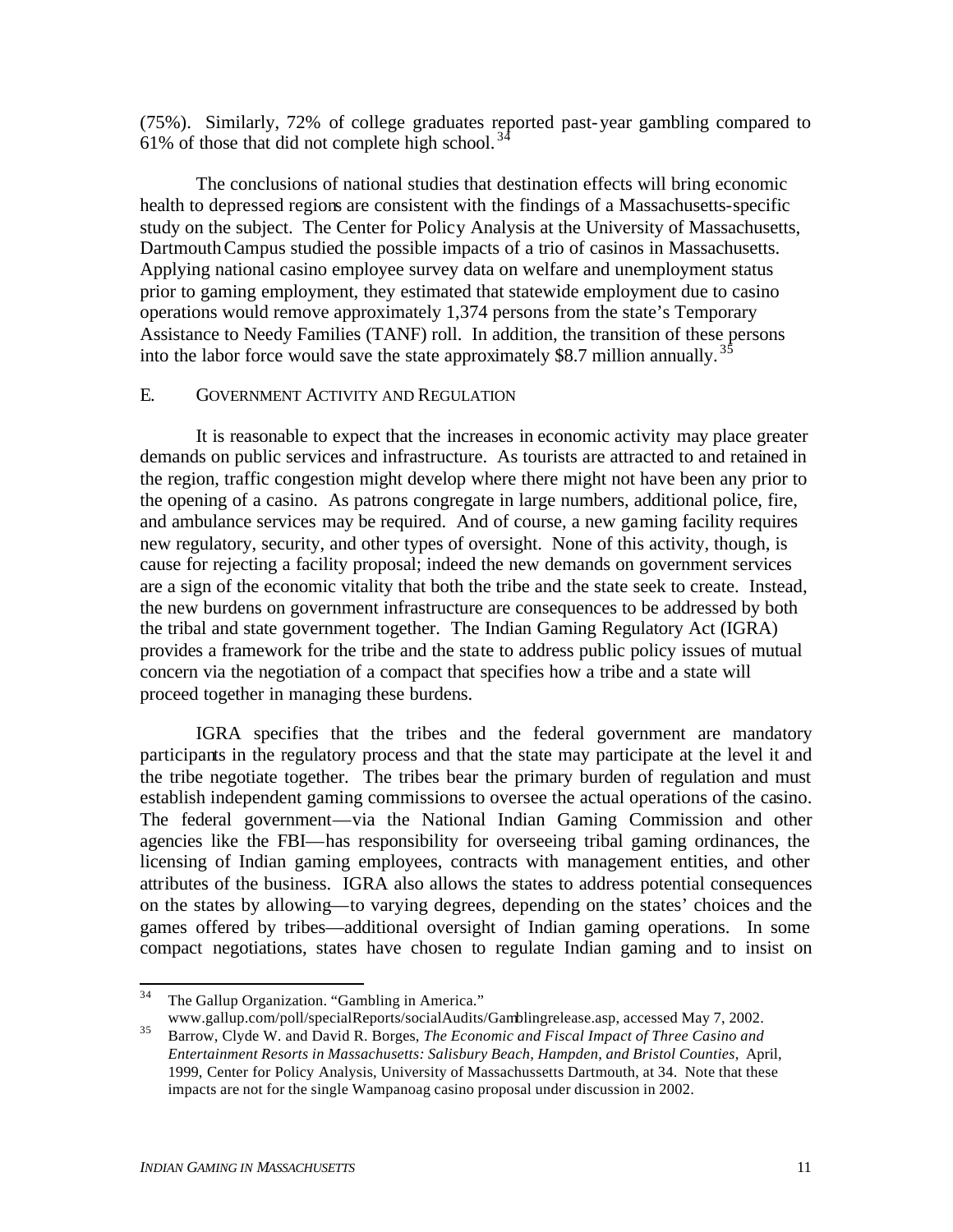(75%). Similarly, 72% of college graduates reported past-year gambling compared to 61% of those that did not complete high school.  $3^2$ 

The conclusions of national studies that destination effects will bring economic health to depressed regions are consistent with the findings of a Massachusetts-specific study on the subject. The Center for Policy Analysis at the University of Massachusetts, Dartmouth Campus studied the possible impacts of a trio of casinos in Massachusetts. Applying national casino employee survey data on welfare and unemployment status prior to gaming employment, they estimated that statewide employment due to casino operations would remove approximately 1,374 persons from the state's Temporary Assistance to Needy Families (TANF) roll. In addition, the transition of these persons into the labor force would save the state approximately \$8.7 million annually.<sup>35</sup>

## E. GOVERNMENT ACTIVITY AND REGULATION

It is reasonable to expect that the increases in economic activity may place greater demands on public services and infrastructure. As tourists are attracted to and retained in the region, traffic congestion might develop where there might not have been any prior to the opening of a casino. As patrons congregate in large numbers, additional police, fire, and ambulance services may be required. And of course, a new gaming facility requires new regulatory, security, and other types of oversight. None of this activity, though, is cause for rejecting a facility proposal; indeed the new demands on government services are a sign of the economic vitality that both the tribe and the state seek to create. Instead, the new burdens on government infrastructure are consequences to be addressed by both the tribal and state government together. The Indian Gaming Regulatory Act (IGRA) provides a framework for the tribe and the state to address public policy issues of mutual concern via the negotiation of a compact that specifies how a tribe and a state will proceed together in managing these burdens.

IGRA specifies that the tribes and the federal government are mandatory participants in the regulatory process and that the state may participate at the level it and the tribe negotiate together. The tribes bear the primary burden of regulation and must establish independent gaming commissions to oversee the actual operations of the casino. The federal government—via the National Indian Gaming Commission and other agencies like the FBI—has responsibility for overseeing tribal gaming ordinances, the licensing of Indian gaming employees, contracts with management entities, and other attributes of the business. IGRA also allows the states to address potential consequences on the states by allowing—to varying degrees, depending on the states' choices and the games offered by tribes—additional oversight of Indian gaming operations. In some compact negotiations, states have chosen to regulate Indian gaming and to insist on

 $34$ The Gallup Organization. "Gambling in America." www.gallup.com/poll/specialReports/socialAudits/Gamblingrelease.asp, accessed May 7, 2002.

<sup>35</sup> Barrow, Clyde W. and David R. Borges, *The Economic and Fiscal Impact of Three Casino and Entertainment Resorts in Massachusetts: Salisbury Beach, Hampden, and Bristol Counties*, April, 1999, Center for Policy Analysis, University of Massachussetts Dartmouth, at 34. Note that these impacts are not for the single Wampanoag casino proposal under discussion in 2002.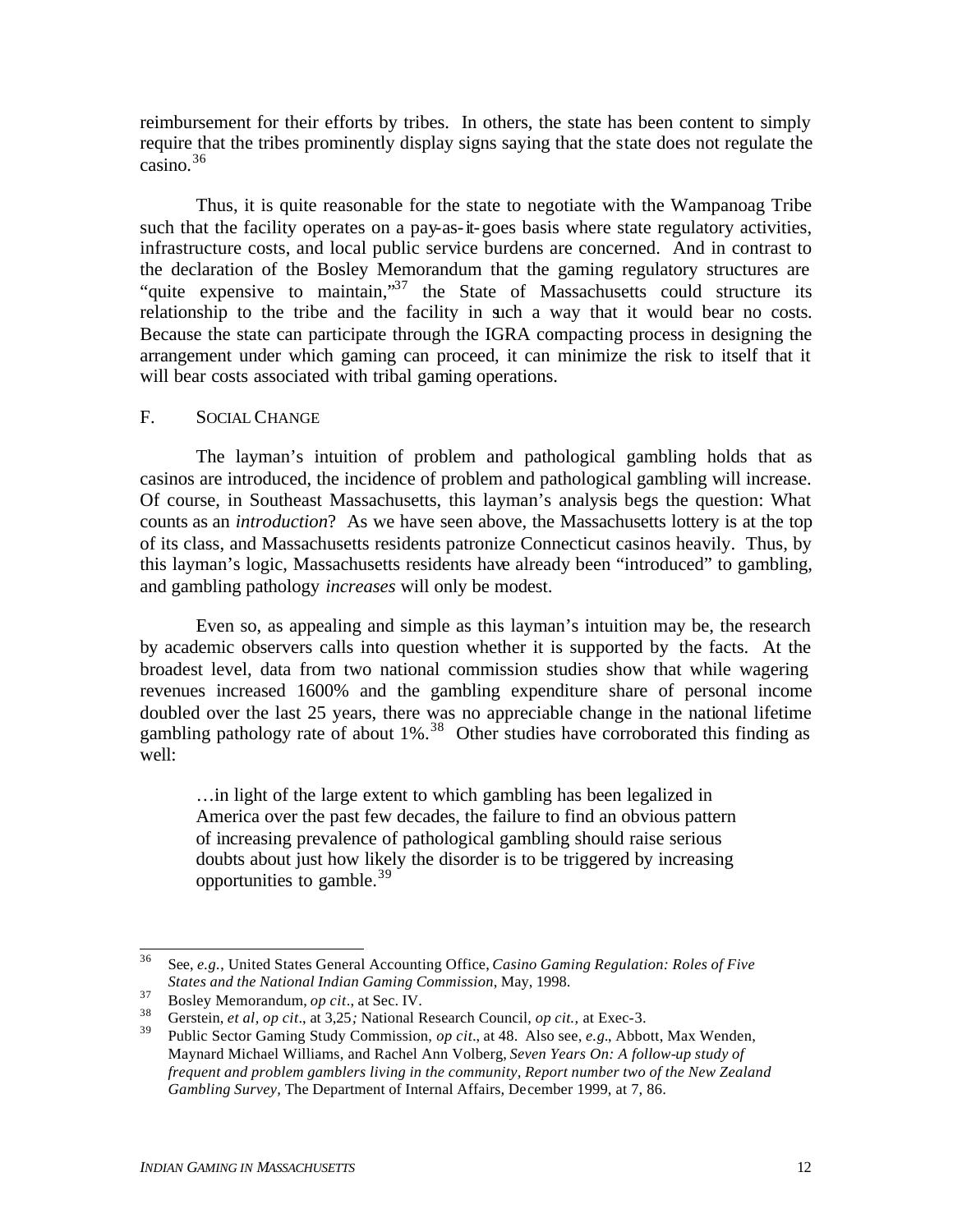reimbursement for their efforts by tribes. In others, the state has been content to simply require that the tribes prominently display signs saying that the state does not regulate the casino.<sup>36</sup>

Thus, it is quite reasonable for the state to negotiate with the Wampanoag Tribe such that the facility operates on a pay-as-it-goes basis where state regulatory activities, infrastructure costs, and local public service burdens are concerned. And in contrast to the declaration of the Bosley Memorandum that the gaming regulatory structures are "quite expensive to maintain,"<sup>37</sup> the State of Massachusetts could structure its relationship to the tribe and the facility in such a way that it would bear no costs. Because the state can participate through the IGRA compacting process in designing the arrangement under which gaming can proceed, it can minimize the risk to itself that it will bear costs associated with tribal gaming operations.

### F. SOCIAL CHANGE

The layman's intuition of problem and pathological gambling holds that as casinos are introduced, the incidence of problem and pathological gambling will increase. Of course, in Southeast Massachusetts, this layman's analysis begs the question: What counts as an *introduction*? As we have seen above, the Massachusetts lottery is at the top of its class, and Massachusetts residents patronize Connecticut casinos heavily. Thus, by this layman's logic, Massachusetts residents have already been "introduced" to gambling, and gambling pathology *increases* will only be modest.

Even so, as appealing and simple as this layman's intuition may be, the research by academic observers calls into question whether it is supported by the facts. At the broadest level, data from two national commission studies show that while wagering revenues increased 1600% and the gambling expenditure share of personal income doubled over the last 25 years, there was no appreciable change in the national lifetime gambling pathology rate of about  $1\%$ .<sup>38</sup> Other studies have corroborated this finding as well:

…in light of the large extent to which gambling has been legalized in America over the past few decades, the failure to find an obvious pattern of increasing prevalence of pathological gambling should raise serious doubts about just how likely the disorder is to be triggered by increasing opportunities to gamble.<sup>39</sup>

<sup>36</sup> <sup>36</sup> See, *e.g.*, United States General Accounting Office, *Casino Gaming Regulation: Roles of Five States and the National Indian Gaming Commission*, May, 1998.

<sup>37</sup> Bosley Memorandum, *op cit*., at Sec. IV.

<sup>38</sup> Gerstein, *et al, op cit*., at 3,25*;* National Research Council, *op cit.,* at Exec-3.

<sup>39</sup> Public Sector Gaming Study Commission, *op cit.*, at 48. Also see, *e.g.*, Abbott, Max Wenden, Maynard Michael Williams, and Rachel Ann Volberg, *Seven Years On: A follow-up study of frequent and problem gamblers living in the community, Report number two of the New Zealand Gambling Survey,* The Department of Internal Affairs, December 1999, at 7, 86.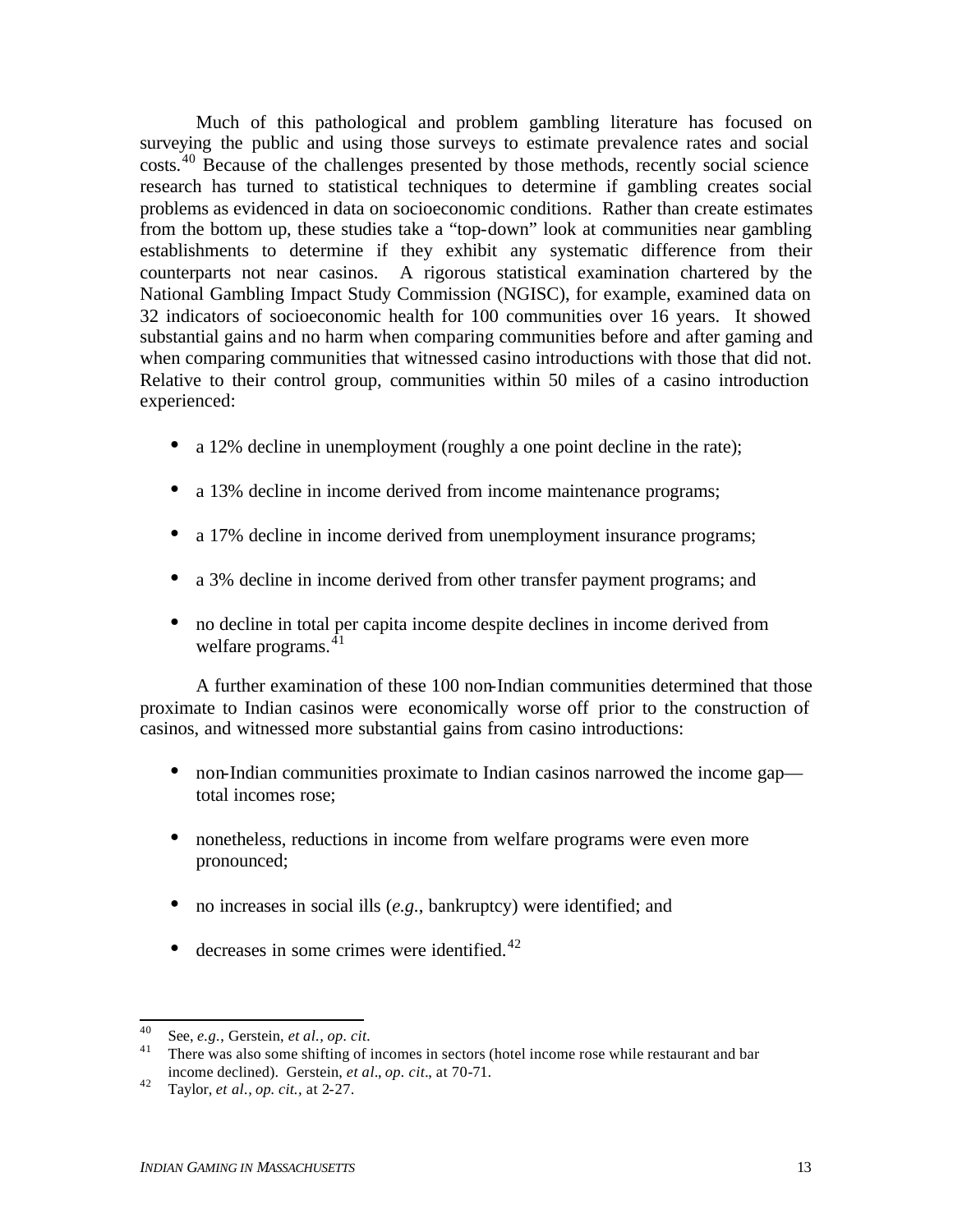Much of this pathological and problem gambling literature has focused on surveying the public and using those surveys to estimate prevalence rates and social costs.<sup>40</sup> Because of the challenges presented by those methods, recently social science research has turned to statistical techniques to determine if gambling creates social problems as evidenced in data on socioeconomic conditions. Rather than create estimates from the bottom up, these studies take a "top-down" look at communities near gambling establishments to determine if they exhibit any systematic difference from their counterparts not near casinos. A rigorous statistical examination chartered by the National Gambling Impact Study Commission (NGISC), for example, examined data on 32 indicators of socioeconomic health for 100 communities over 16 years. It showed substantial gains and no harm when comparing communities before and after gaming and when comparing communities that witnessed casino introductions with those that did not. Relative to their control group, communities within 50 miles of a casino introduction experienced:

- a 12% decline in unemployment (roughly a one point decline in the rate);
- a 13% decline in income derived from income maintenance programs;
- a 17% decline in income derived from unemployment insurance programs;
- a 3% decline in income derived from other transfer payment programs; and
- no decline in total per capita income despite declines in income derived from welfare programs. $41$

A further examination of these 100 non-Indian communities determined that those proximate to Indian casinos were economically worse off prior to the construction of casinos, and witnessed more substantial gains from casino introductions:

- non-Indian communities proximate to Indian casinos narrowed the income gap total incomes rose;
- nonetheless, reductions in income from welfare programs were even more pronounced;
- no increases in social ills (*e.g.*, bankruptcy) were identified; and
- decreases in some crimes were identified. $42$

<sup>40</sup> <sup>40</sup> See, *e.g.*, Gerstein, *et al., op. cit.*

<sup>&</sup>lt;sup>41</sup> There was also some shifting of incomes in sectors (hotel income rose while restaurant and bar income declined). Gerstein, *et al.*, *op. cit.*, at 70-71.

<sup>42</sup> Taylor, *et al., op. cit.,* at 2-27.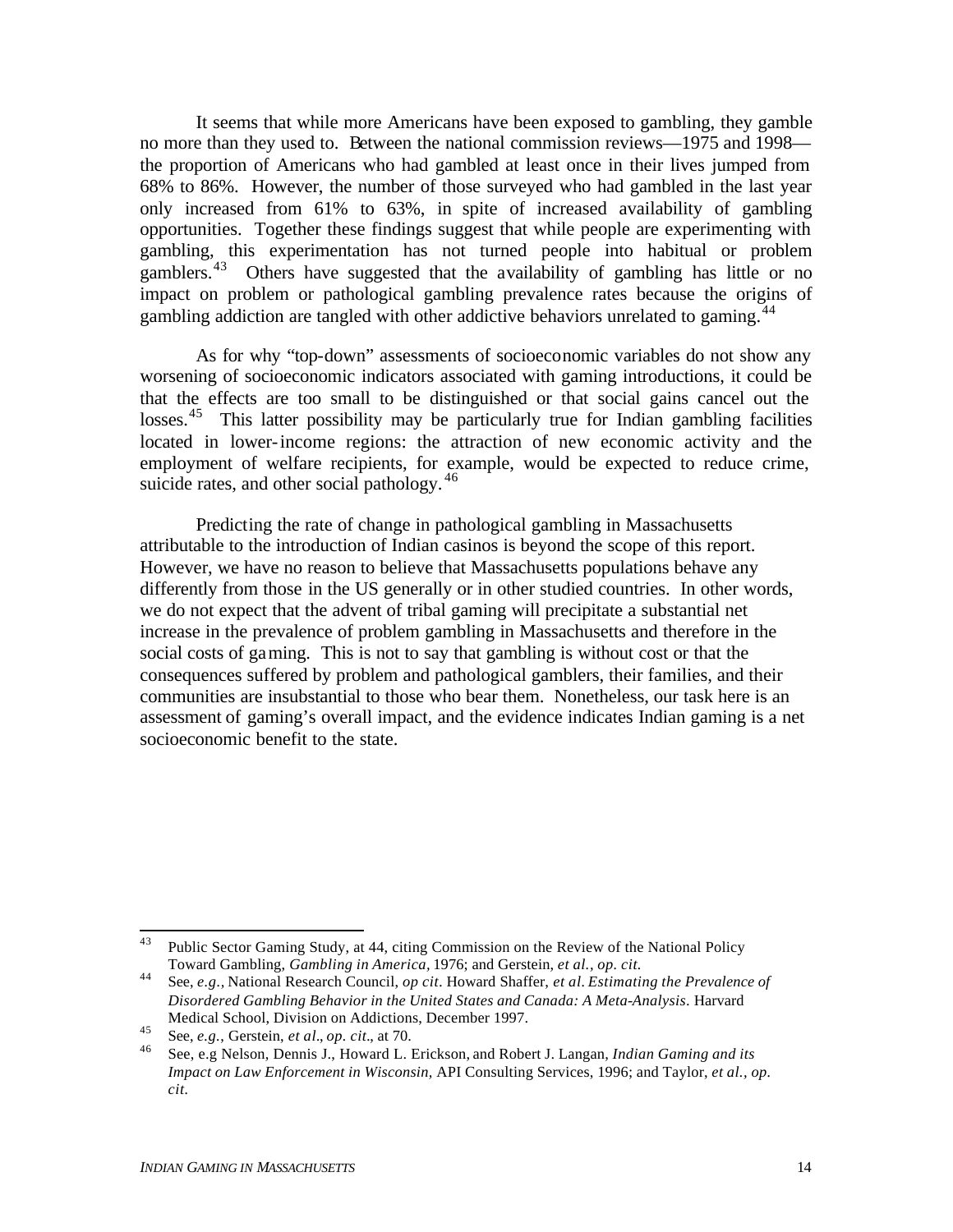It seems that while more Americans have been exposed to gambling, they gamble no more than they used to. Between the national commission reviews—1975 and 1998 the proportion of Americans who had gambled at least once in their lives jumped from 68% to 86%. However, the number of those surveyed who had gambled in the last year only increased from 61% to 63%, in spite of increased availability of gambling opportunities. Together these findings suggest that while people are experimenting with gambling, this experimentation has not turned people into habitual or problem gamblers.<sup>43</sup> Others have suggested that the availability of gambling has little or no impact on problem or pathological gambling prevalence rates because the origins of gambling addiction are tangled with other addictive behaviors unrelated to gaming.<sup>44</sup>

As for why "top-down" assessments of socioeconomic variables do not show any worsening of socioeconomic indicators associated with gaming introductions, it could be that the effects are too small to be distinguished or that social gains cancel out the losses.<sup>45</sup> This latter possibility may be particularly true for Indian gambling facilities located in lower-income regions: the attraction of new economic activity and the employment of welfare recipients, for example, would be expected to reduce crime, suicide rates, and other social pathology.<sup>46</sup>

Predicting the rate of change in pathological gambling in Massachusetts attributable to the introduction of Indian casinos is beyond the scope of this report. However, we have no reason to believe that Massachusetts populations behave any differently from those in the US generally or in other studied countries. In other words, we do not expect that the advent of tribal gaming will precipitate a substantial net increase in the prevalence of problem gambling in Massachusetts and therefore in the social costs of gaming. This is not to say that gambling is without cost or that the consequences suffered by problem and pathological gamblers, their families, and their communities are insubstantial to those who bear them. Nonetheless, our task here is an assessment of gaming's overall impact, and the evidence indicates Indian gaming is a net socioeconomic benefit to the state.

<sup>43</sup> Public Sector Gaming Study, at 44, citing Commission on the Review of the National Policy Toward Gambling, *Gambling in America,* 1976; and Gerstein, *et al., op. cit.*

<sup>44</sup> See, *e.g.,* National Research Council, *op cit.* Howard Shaffer, *et al. Estimating the Prevalence of Disordered Gambling Behavior in the United States and Canada: A Meta-Analysis*. Harvard Medical School, Division on Addictions, December 1997.

<sup>45</sup> See, *e.g.*, Gerstein, *et al.*, *op. cit.*, at 70.

<sup>46</sup> See, e.g Nelson, Dennis J., Howard L. Erickson, and Robert J. Langan, *Indian Gaming and its Impact on Law Enforcement in Wisconsin,* API Consulting Services, 1996; and Taylor, *et al., op. cit.*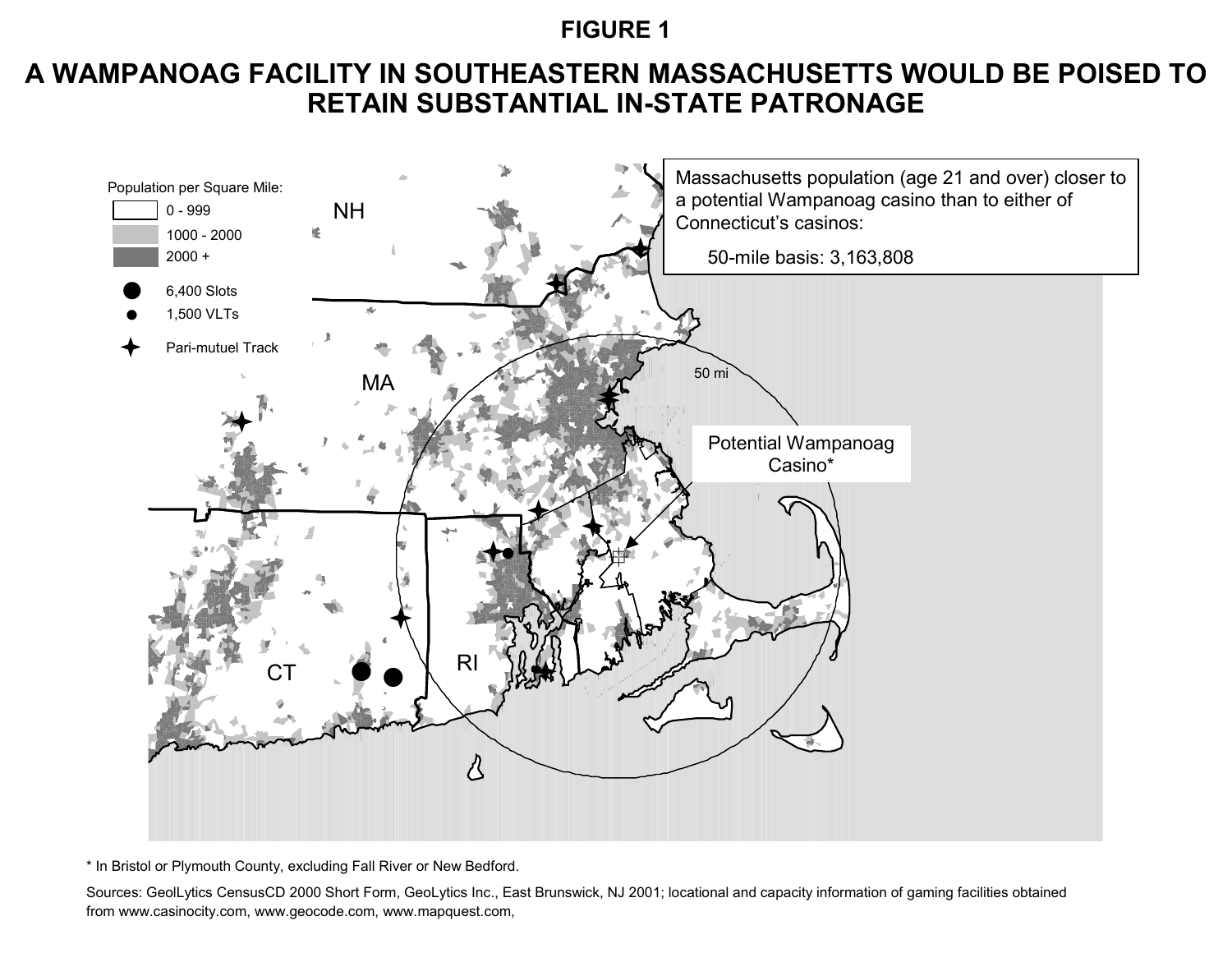## **FIGURE 1**

# **A WAMPANOAG FACILITY IN SOUTHEASTERN MASSACHUSETTS WOULD BE POISED TO RETAIN SUBSTANTIAL IN-STATE PATRONAGE**



\* In Bristol or Plymouth County, excluding Fall River or New Bedford.

Sources: GeolLytics CensusCD 2000 Short Form, GeoLytics Inc., East Brunswick, NJ 2001; locational and capacity information of gaming facilities obtained from www.casinocity.com, www.geocode.com, www.mapquest.com,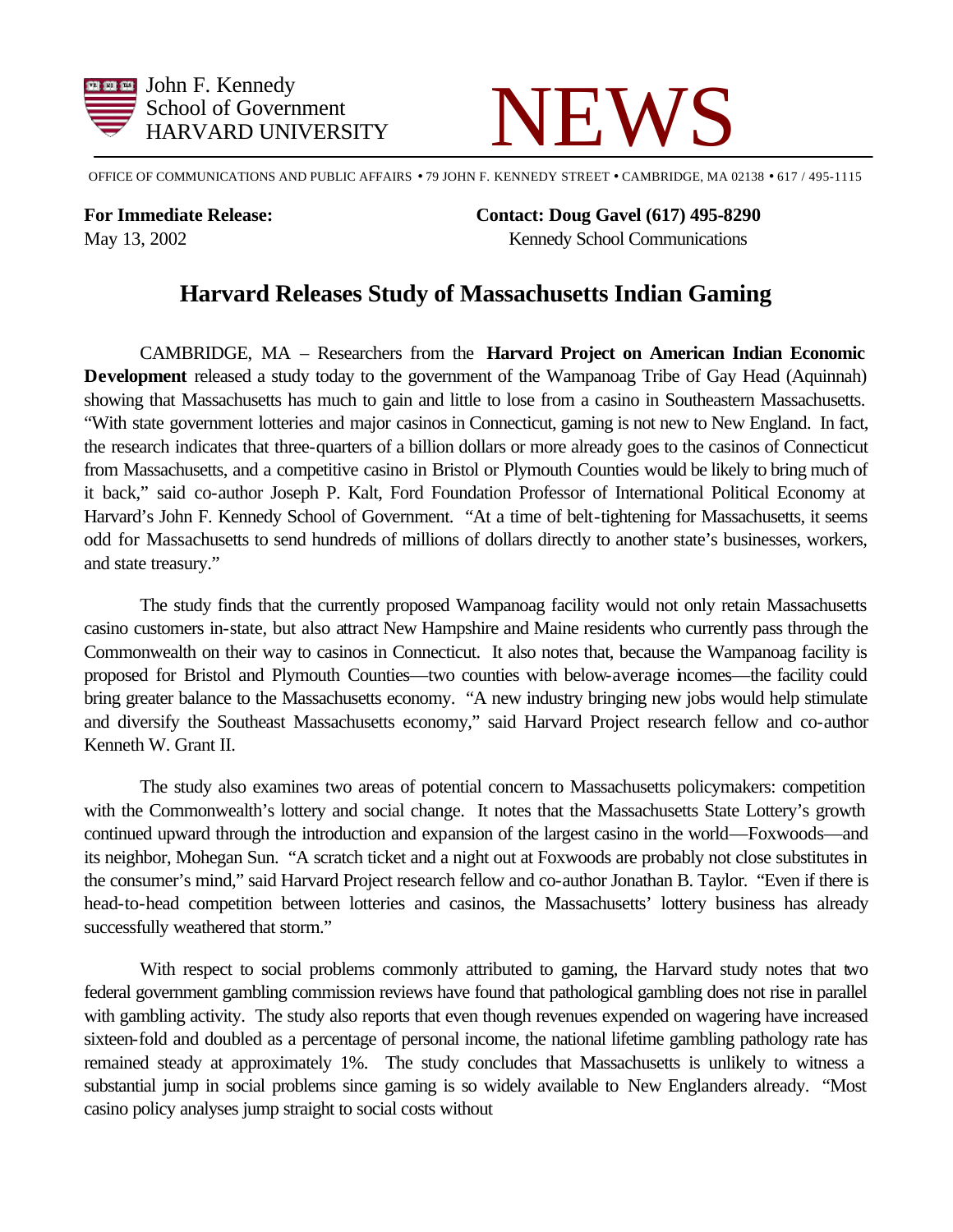



OFFICE OF COMMUNICATIONS AND PUBLIC AFFAIRS • 79 JOHN F. KENNEDY STREET • CAMBRIDGE, MA 02138 • 617 / 495-1115

**For Immediate Release: Contact: Doug Gavel (617) 495-8290** May 13, 2002 Kennedy School Communications

## **Harvard Releases Study of Massachusetts Indian Gaming**

CAMBRIDGE, MA – Researchers from the **Harvard Project on American Indian Economic Development** released a study today to the government of the Wampanoag Tribe of Gay Head (Aquinnah) showing that Massachusetts has much to gain and little to lose from a casino in Southeastern Massachusetts. "With state government lotteries and major casinos in Connecticut, gaming is not new to New England. In fact, the research indicates that three-quarters of a billion dollars or more already goes to the casinos of Connecticut from Massachusetts, and a competitive casino in Bristol or Plymouth Counties would be likely to bring much of it back," said co-author Joseph P. Kalt, Ford Foundation Professor of International Political Economy at Harvard's John F. Kennedy School of Government. "At a time of belt-tightening for Massachusetts, it seems odd for Massachusetts to send hundreds of millions of dollars directly to another state's businesses, workers, and state treasury."

The study finds that the currently proposed Wampanoag facility would not only retain Massachusetts casino customers in-state, but also attract New Hampshire and Maine residents who currently pass through the Commonwealth on their way to casinos in Connecticut. It also notes that, because the Wampanoag facility is proposed for Bristol and Plymouth Counties—two counties with below-average incomes—the facility could bring greater balance to the Massachusetts economy. "A new industry bringing new jobs would help stimulate and diversify the Southeast Massachusetts economy," said Harvard Project research fellow and co-author Kenneth W. Grant II.

The study also examines two areas of potential concern to Massachusetts policymakers: competition with the Commonwealth's lottery and social change. It notes that the Massachusetts State Lottery's growth continued upward through the introduction and expansion of the largest casino in the world—Foxwoods—and its neighbor, Mohegan Sun. "A scratch ticket and a night out at Foxwoods are probably not close substitutes in the consumer's mind," said Harvard Project research fellow and co-author Jonathan B. Taylor. "Even if there is head-to-head competition between lotteries and casinos, the Massachusetts' lottery business has already successfully weathered that storm."

With respect to social problems commonly attributed to gaming, the Harvard study notes that two federal government gambling commission reviews have found that pathological gambling does not rise in parallel with gambling activity. The study also reports that even though revenues expended on wagering have increased sixteen-fold and doubled as a percentage of personal income, the national lifetime gambling pathology rate has remained steady at approximately 1%. The study concludes that Massachusetts is unlikely to witness a substantial jump in social problems since gaming is so widely available to New Englanders already. "Most casino policy analyses jump straight to social costs without